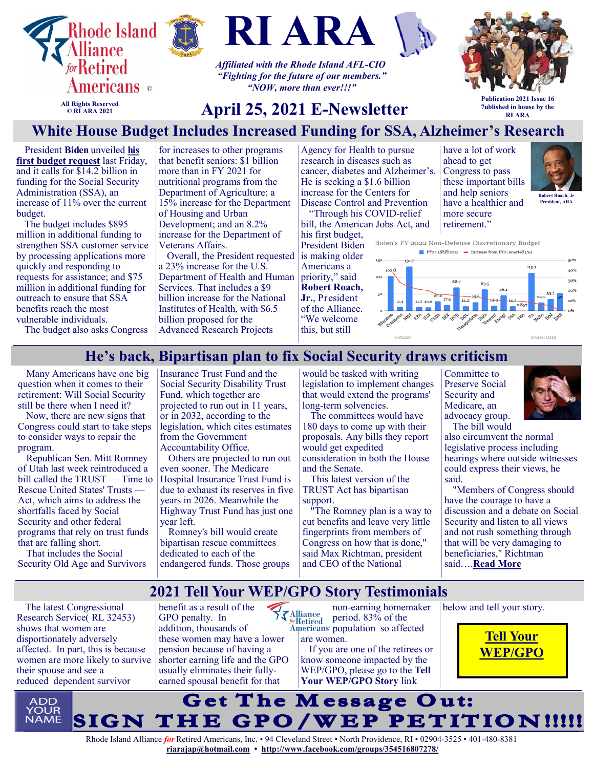





*Affiliated with the Rhode Island AFL-CIO "Fighting for the future of our members." "NOW, more than ever!!!"*



**All Rights Reserved © RI ARA 2021**

# **April 25, 2021 E-Newsletter**

**Publication 2021 Issue 16 7ublished in house by the RI ARA**

## **White House Budget Includes Increased Funding for SSA, Alzheimer's Research**

President **Biden** unveiled **[his](https://u1584542.ct.sendgrid.net/ss/c/atcYNHk4Eh2YdGnwBh-YDMyCaOTdIlhC3NdB8_2e5S6Erx3ylKBetwhcgHE0lD4WcENeMZn5rSpLm7DspI1M7rv1EM5nGthCLMQlyqd9LkGxwf536BlgL96m7xy_0XRD0ocX9HxN90kmFNPttQM4bpFIJPSWSEw58_VgF4OCn2XdcSadWhlz3E_t1f_VrlO9Yf7ApRdMZIw4nnmVRTRK8s_vWKLjh)  [first budget request](https://u1584542.ct.sendgrid.net/ss/c/atcYNHk4Eh2YdGnwBh-YDMyCaOTdIlhC3NdB8_2e5S6Erx3ylKBetwhcgHE0lD4WcENeMZn5rSpLm7DspI1M7rv1EM5nGthCLMQlyqd9LkGxwf536BlgL96m7xy_0XRD0ocX9HxN90kmFNPttQM4bpFIJPSWSEw58_VgF4OCn2XdcSadWhlz3E_t1f_VrlO9Yf7ApRdMZIw4nnmVRTRK8s_vWKLjh)** last Friday, and it calls for \$14.2 billion in funding for the Social Security Administration (SSA), an increase of 11% over the current budget.

The budget includes \$895 million in additional funding to strengthen SSA customer service by processing applications more quickly and responding to requests for assistance; and \$75 million in additional funding for outreach to ensure that SSA benefits reach the most vulnerable individuals.

for increases to other programs that benefit seniors: \$1 billion more than in FY 2021 for nutritional programs from the Department of Agriculture; a 15% increase for the Department of Housing and Urban Development; and an 8.2% increase for the Department of Veterans Affairs.

Overall, the President requested a 23% increase for the U.S. Department of Health and Human Services. That includes a \$9 billion increase for the National Institutes of Health, with \$6.5 billion proposed for the Advanced Research Projects

Agency for Health to pursue research in diseases such as cancer, diabetes and Alzheimer's. He is seeking a \$1.6 billion increase for the Centers for Disease Control and Prevention "Through his COVID-relief

bill, the American Jobs Act, and his first budget, President Biden

is making older Americans a priority," said **Robert Roach, Jr.**, President of the Alliance. "We welcome this, but still

have a lot of work ahead to get Congress to pass these important bills and help seniors have a healthier and more secure retirement."



Biden's FY 2022 Non-Defense Discretionary Budget  $\blacksquare$  FY22 (\$billions)  $\blacksquare$  Increase from FY21 enacted (%)



The budget also asks Congress

#### **He's back, Bipartisan plan to fix Social Security draws criticism**

Many Americans have one big question when it comes to their retirement: Will Social Security still be there when I need it?

Now, there are new signs that Congress could start to take steps to consider ways to repair the program.

Republican Sen. Mitt Romney of Utah last week reintroduced a bill called the TRUST — Time to Rescue United States' Trusts — Act, which aims to address the shortfalls faced by Social Security and other federal programs that rely on trust funds that are falling short.

That includes the Social Security Old Age and Survivors Insurance Trust Fund and the Social Security Disability Trust Fund, which together are projected to run out in 11 years, or in 2032, according to the legislation, which cites estimates from the Government Accountability Office.

Others are projected to run out even sooner. The Medicare Hospital Insurance Trust Fund is due to exhaust its reserves in five years in 2026. Meanwhile the Highway Trust Fund has just one year left.

Romney's bill would create bipartisan rescue committees dedicated to each of the endangered funds. Those groups

would be tasked with writing legislation to implement changes that would extend the programs' long-term solvencies.

The committees would have 180 days to come up with their proposals. Any bills they report would get expedited consideration in both the House and the Senate.

This latest version of the TRUST Act has bipartisan support.

"The Romney plan is a way to cut benefits and leave very little fingerprints from members of Congress on how that is done," said Max Richtman, president and CEO of the National

Committee to Preserve Social Security and Medicare, an advocacy group. The bill would



also circumvent the normal legislative process including hearings where outside witnesses could express their views, he said.

"Members of Congress should have the courage to have a discussion and a debate on Social Security and listen to all views and not rush something through that will be very damaging to beneficiaries," Richtman said….**[Read More](https://www.msn.com/en-us/news/politics/bipartisan-plan-to-fix-social-security-draws-criticism/ar-BB1fRElb?ocid=SK2DDHP&li=BBnb7Kz)**

#### **2021 Tell Your WEP/GPO Story Testimonials**

The latest Congressional Research Service( RL 32453) shows that women are disportionately adversely affected. In part, this is because women are more likely to survive their spouse and see a reduced dependent survivor

benefit as a result of the GPO penalty. In addition, thousands of these women may have a lower pension because of having a shorter earning life and the GPO usually eliminates their fullyearned spousal benefit for that

non-earning homemaker  $\left\{\sum_{\substack{\text{forRetired}\\ \text{Americans}}} \right\}$ period. 83% of the Americans' population so affected are women.

If you are one of the retirees or know someone impacted by the WEP/GPO, please go to the **Tell Your WEP/GPO Story** link

below and tell your story.



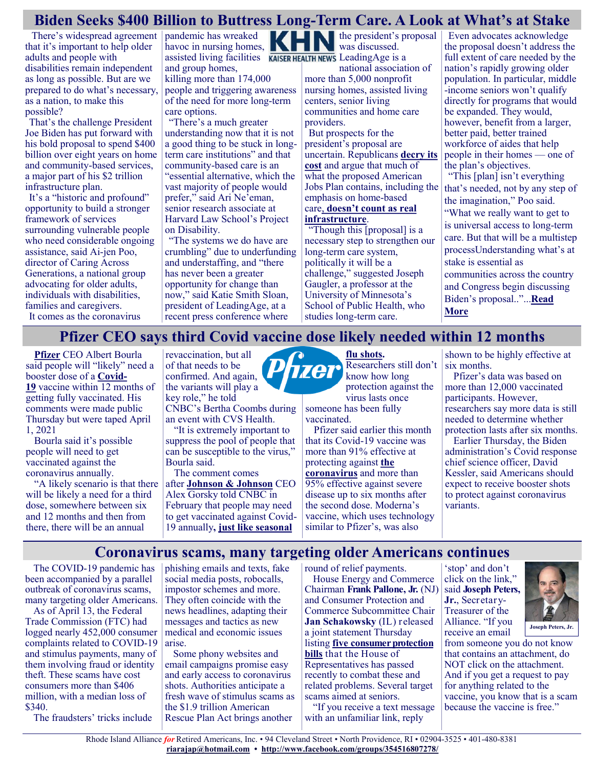#### **Biden Seeks \$400 Billion to Buttress Long-Term Care. A Look at What's at Stake**

There's widespread agreement that it's important to help older adults and people with disabilities remain independent as long as possible. But are we prepared to do what's necessary, as a nation, to make this possible?

That's the challenge President Joe Biden has put forward with his bold proposal to spend \$400 billion over eight years on home and community-based services, a major part of his \$2 trillion infrastructure plan.

It's a "historic and profound" opportunity to build a stronger framework of services surrounding vulnerable people who need considerable ongoing assistance, said Ai-jen Poo, director of Caring Across Generations, a national group advocating for older adults, individuals with disabilities, families and caregivers.

It comes as the coronavirus

pandemic has wreaked havoc in nursing homes, assisted living facilities **KAISER HEALTH NEWS** Leading Age is a and group homes, killing more than 174,000 people and triggering awareness of the need for more long-term care options.

"There's a much greater understanding now that it is not a good thing to be stuck in longterm care institutions" and that community-based care is an "essential alternative, which the vast majority of people would prefer," said Ari Ne'eman, senior research associate at Harvard Law School's Project on Disability.

"The systems we do have are crumbling" due to underfunding and understaffing, and "there has never been a greater opportunity for change than now," said Katie Smith Sloan, president of LeadingAge, at a recent press conference where

revaccination, but all of that needs to be

the president's proposal was discussed.

national association of more than 5,000 nonprofit nursing homes, assisted living centers, senior living communities and home care providers.

But prospects for the president's proposal are uncertain. Republicans **[decry its](https://www.washingtonpost.com/politics/gop-attacks-biden-infrastructure-debt/2021/04/04/321ad05a-93b7-11eb-a74e-1f4cf89fd948_story.html)  [cost](https://www.washingtonpost.com/politics/gop-attacks-biden-infrastructure-debt/2021/04/04/321ad05a-93b7-11eb-a74e-1f4cf89fd948_story.html)** and argue that much of what the proposed American Jobs Plan contains, including the emphasis on home-based care, **[doesn't count as real](https://www.washingtonpost.com/politics/2021/04/05/gop-claim-that-only-5-7-percent-bidens-plan-is-real-infrastructure/)  [infrastructure](https://www.washingtonpost.com/politics/2021/04/05/gop-claim-that-only-5-7-percent-bidens-plan-is-real-infrastructure/)**.

"Though this [proposal] is a necessary step to strengthen our long-term care system, politically it will be a challenge," suggested Joseph Gaugler, a professor at the University of Minnesota's School of Public Health, who studies long-term care.

Even advocates acknowledge the proposal doesn't address the full extent of care needed by the nation's rapidly growing older population. In particular, middle -income seniors won't qualify directly for programs that would be expanded. They would, however, benefit from a larger, better paid, better trained workforce of aides that help people in their homes — one of the plan's objectives.

"This [plan] isn't everything that's needed, not by any step of the imagination," Poo said. "What we really want to get to is universal access to long-term care. But that will be a multistep processUnderstanding what's at stake is essential as communities across the country and Congress begin discussing Biden's proposal.."...**[Read](https://retiredamericans.org/biden-seeks-400-billion-to-buttress-long-term-care-a-look-at-whats-at-stake/?link_id=3&can_id=096a66151cd2402458f2400b242b25cd&source=email-april-16-2021-friday-alert-retiree-news&email_referrer=email_1145699&email_subject=apri)  [More](https://retiredamericans.org/biden-seeks-400-billion-to-buttress-long-term-care-a-look-at-whats-at-stake/?link_id=3&can_id=096a66151cd2402458f2400b242b25cd&source=email-april-16-2021-friday-alert-retiree-news&email_referrer=email_1145699&email_subject=apri)**

#### **Pfizer CEO says third Covid vaccine dose likely needed within 12 months**

**[Pfizer](https://www.cnbc.com/quotes/PFE)** CEO Albert Bourla said people will "likely" need a booster dose of a **[Covid](https://www.cnbc.com/2021/04/15/covid-live-updates-fauci-health-officials-testify-jj-vaccine.html)-[19](https://www.cnbc.com/2021/04/15/covid-live-updates-fauci-health-officials-testify-jj-vaccine.html)** vaccine within 12 months of getting fully vaccinated. His comments were made public Thursday but were taped April 1, 2021

Bourla said it's possible people will need to get vaccinated against the coronavirus annually.

"A likely scenario is that there will be likely a need for a third dose, somewhere between six and 12 months and then from there, there will be an annual

confirmed. And again, the variants will play a key role," he told CNBC's Bertha Coombs during an event with CVS Health. "It is extremely important to suppress the pool of people that can be susceptible to the virus," Bourla said. The comment comes after **[Johnson & Johnson](https://www.cnbc.com/quotes/JNJ)** CEO Alex Gorsky told CNBC in

February that people may need to get vaccinated against Covid-19 annually**, [just like seasonal](https://carbon.cnbc.com/106837935)** 



Researchers still don't know how long protection against the virus lasts once someone has been fully

vaccinated.

Pfizer said earlier this month that its Covid-19 vaccine was more than 91% effective at protecting against **[the](https://www.cnbc.com/coronavirus/)  [coronavirus](https://www.cnbc.com/coronavirus/)** and more than 95% effective against severe disease up to six months after the second dose. Moderna's vaccine, which uses technology similar to Pfizer's, was also

shown to be highly effective at six months.

Pfizer's data was based on more than 12,000 vaccinated participants. However, researchers say more data is still needed to determine whether protection lasts after six months.

Earlier Thursday, the Biden administration's Covid response chief science officer, David Kessler, said Americans should expect to receive booster shots to protect against coronavirus variants.

#### **Coronavirus scams, many targeting older Americans continues**

The COVID-19 pandemic has been accompanied by a parallel outbreak of coronavirus scams, many targeting older Americans.

As of April 13, the Federal Trade Commission (FTC) had logged nearly 452,000 consumer complaints related to COVID-19 and stimulus payments, many of them involving fraud or identity theft. These scams have cost consumers more than \$406 million, with a median loss of \$340.

The fraudsters' tricks include

phishing emails and texts, fake social media posts, robocalls, impostor schemes and more. They often coincide with the news headlines, adapting their messages and tactics as new medical and economic issues arise.

Some phony websites and email campaigns promise easy and early access to coronavirus shots. Authorities anticipate a fresh wave of stimulus scams as the \$1.9 trillion American Rescue Plan Act brings another

round of relief payments.

House Energy and Commerce Chairman **Frank Pallone, Jr.** (NJ) and Consumer Protection and Commerce Subcommittee Chair **Jan Schakowsky** (IL) released a joint statement Thursday listing **[five consumer protection](https://u1584542.ct.sendgrid.net/ss/c/XlxiKm-amnZREMhISCI1HbPVpg3Ytcc6wLIeRy9Q1fMAe1EfzFtax6jY2dxCtxg3Dutiqqznd8lL9ebMSBsqRmHbIgaO1h4Rg-ZnWIj06Faa5yTV8PTMf5SMTjgqulLyeig3RrmqgFlrSL45VfGrbm0kMzYKoANWAcDjZwbWOvGRvlDz7DX3hQsND6yvY5cJgfLqa6kxHqjZskMHRpjLXJQdKcPDy)  [bills](https://u1584542.ct.sendgrid.net/ss/c/XlxiKm-amnZREMhISCI1HbPVpg3Ytcc6wLIeRy9Q1fMAe1EfzFtax6jY2dxCtxg3Dutiqqznd8lL9ebMSBsqRmHbIgaO1h4Rg-ZnWIj06Faa5yTV8PTMf5SMTjgqulLyeig3RrmqgFlrSL45VfGrbm0kMzYKoANWAcDjZwbWOvGRvlDz7DX3hQsND6yvY5cJgfLqa6kxHqjZskMHRpjLXJQdKcPDy)** that the House of Representatives has passed recently to combat these and related problems. Several target scams aimed at seniors.

"If you receive a text message with an unfamiliar link, reply

'stop' and don't click on the link," said **Joseph Peters, Jr.**, Secretary-Treasurer of the Alliance. "If you receive an email



from someone you do not know that contains an attachment, do NOT click on the attachment. And if you get a request to pay for anything related to the vaccine, you know that is a scam because the vaccine is free."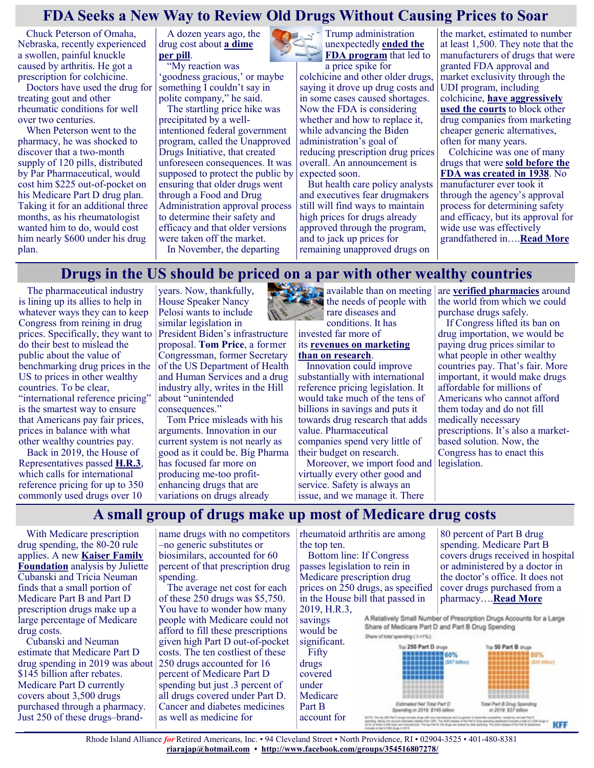#### **FDA Seeks a New Way to Review Old Drugs Without Causing Prices to Soar**

Chuck Peterson of Omaha, Nebraska, recently experienced a swollen, painful knuckle caused by arthritis. He got a prescription for colchicine.

Doctors have used the drug for treating gout and other rheumatic conditions for well over two centuries.

When Peterson went to the pharmacy, he was shocked to discover that a two-month supply of 120 pills, distributed by Par Pharmaceutical, would cost him \$225 out-of-pocket on his Medicare Part D drug plan. Taking it for an additional three months, as his rheumatologist wanted him to do, would cost him nearly \$600 under his drug plan.

A dozen years ago, the drug cost about **[a dime](https://khn.org/news/fda-approval/)  [per pill](https://khn.org/news/fda-approval/)**.

'My reaction was 'goodness gracious,' or maybe something I couldn't say in

polite company," he said. The startling price hike was precipitated by a wellintentioned federal government program, called the Unapproved Drugs Initiative, that created unforeseen consequences. It was supposed to protect the public by ensuring that older drugs went through a Food and Drug Administration approval process to determine their safety and efficacy and that older versions were taken off the market. In November, the departing

**Trump administration** unexpectedly **[ended the](https://www.hhs.gov/about/news/2020/11/20/statement-hhs-chief-staff-brian-harrison-unapproved-drugs-initiative.html)  [FDA program](https://www.hhs.gov/about/news/2020/11/20/statement-hhs-chief-staff-brian-harrison-unapproved-drugs-initiative.html)** that led to

a price spike for colchicine and other older drugs, saying it drove up drug costs and in some cases caused shortages. Now the FDA is considering whether and how to replace it, while advancing the Biden administration's goal of reducing prescription drug prices overall. An announcement is expected soon.

But health care policy analysts and executives fear drugmakers still will find ways to maintain high prices for drugs already approved through the program, and to jack up prices for remaining unapproved drugs on

the market, estimated to number at least 1,500. They note that the manufacturers of drugs that were granted FDA approval and market exclusivity through the UDI program, including colchicine, **[have aggressively](https://www.rheumatologynetwork.com/view/generic-colchicine-victory-one-battle-drug-prices)  [used the courts](https://www.rheumatologynetwork.com/view/generic-colchicine-victory-one-battle-drug-prices)** to block other drug companies from marketing cheaper generic alternatives, often for many years.

Colchicine was one of many drugs that were **[sold before the](https://www.healthaffairs.org/do/10.1377/hblog20210111.326715/full/)  [FDA was created in 1938](https://www.healthaffairs.org/do/10.1377/hblog20210111.326715/full/)**. No manufacturer ever took it through the agency's approval process for determining safety and efficacy, but its approval for wide use was effectively grandfathered in….**[Read More](https://khn.org/news/article/the-fda-seeks-a-new-way-to-review-old-drugs-without-causing-prices-to-soar/)**

#### **Drugs in the US should be priced on a par with other wealthy countries**

The pharmaceutical industry is lining up its allies to help in whatever ways they can to keep Congress from reining in drug prices. Specifically, they want to do their best to mislead the public about the value of benchmarking drug prices in the US to prices in other wealthy countries. To be clear, "international reference pricing" is the smartest way to ensure that Americans pay fair prices, prices in balance with what other wealthy countries pay.

Back in 2019, the House of Representatives passed **[H.R.3](https://justcareusa.org/speaker-pelosis-drug-bill-passes-in-the-us-house-of-representatives/)**, which calls for international reference pricing for up to 350 commonly used drugs over 10

years. Now, thankfully, House Speaker Nancy Pelosi wants to include similar legislation in

President Biden's infrastructure proposal. **[Tom Price](https://thehill.com/opinion/healthcare/547207-the-best-way-to-tackle-drug-prices)**, a former Congressman, former Secretary of the US Department of Health and Human Services and a drug industry ally, writes in the Hill about "unintended consequences."

Tom Price misleads with his arguments. Innovation in our current system is not nearly as good as it could be. Big Pharma has focused far more on producing me-too profitenhancing drugs that are variations on drugs already



#### its **[revenues on marketing](https://justcareusa.org/pharma-is-undermining-the-discovery-of-new-drugs/)  [than on research](https://justcareusa.org/pharma-is-undermining-the-discovery-of-new-drugs/)**.

Innovation could improve substantially with international reference pricing legislation. It would take much of the tens of billions in savings and puts it towards drug research that adds value. Pharmaceutical companies spend very little of their budget on research.

Moreover, we import food and legislation. virtually every other good and service. Safety is always an issue, and we manage it. There

available than on meeting are **[verified pharmacies](https://justcareusa.org/millions-safely-import-low-cost-drugs-from-abroad/)** around the world from which we could purchase drugs safely.

> If Congress lifted its ban on drug importation, we would be paying drug prices similar to what people in other wealthy countries pay. That's fair. More important, it would make drugs affordable for millions of Americans who cannot afford them today and do not fill medically necessary prescriptions. It's also a marketbased solution. Now, the Congress has to enact this

#### **A small group of drugs make up most of Medicare drug costs**

With Medicare prescription drug spending, the 80-20 rule applies. A new **[Kaiser Family](https://www.kff.org/medicare/issue-brief/relatively-few-drugs-account-for-a-large-share-of-medicare-prescription-drug-spending/)  [Foundation](https://www.kff.org/medicare/issue-brief/relatively-few-drugs-account-for-a-large-share-of-medicare-prescription-drug-spending/)** analysis by Juliette Cubanski and Tricia Neuman finds that a small portion of Medicare Part B and Part D prescription drugs make up a large percentage of Medicare drug costs.

Cubanski and Neuman estimate that Medicare Part D drug spending in 2019 was about \$145 billion after rebates. Medicare Part D currently covers about 3,500 drugs purchased through a pharmacy. Just 250 of these drugs–brand-

name drugs with no competitors –no generic substitutes or biosimilars, accounted for 60 percent of that prescription drug spending.

The average net cost for each of these 250 drugs was \$5,750. You have to wonder how many people with Medicare could not afford to fill these prescriptions given high Part D out-of-pocket costs. The ten costliest of these 250 drugs accounted for 16 percent of Medicare Part D spending but just .3 percent of all drugs covered under Part D. Cancer and diabetes medicines as well as medicine for

rheumatoid arthritis are among the top ten.

Bottom line: If Congress passes legislation to rein in Medicare prescription drug prices on 250 drugs, as specified in the House bill that passed in 2019, H.R.3,

80 percent of Part B drug spending. Medicare Part B covers drugs received in hospital or administered by a doctor in the doctor's office. It does not cover drugs purchased from a pharmacy….**[Read More](https://justcareusa.org/a-small-group-of-drugs-make-up-most-of-medicare-drug-costs/)**

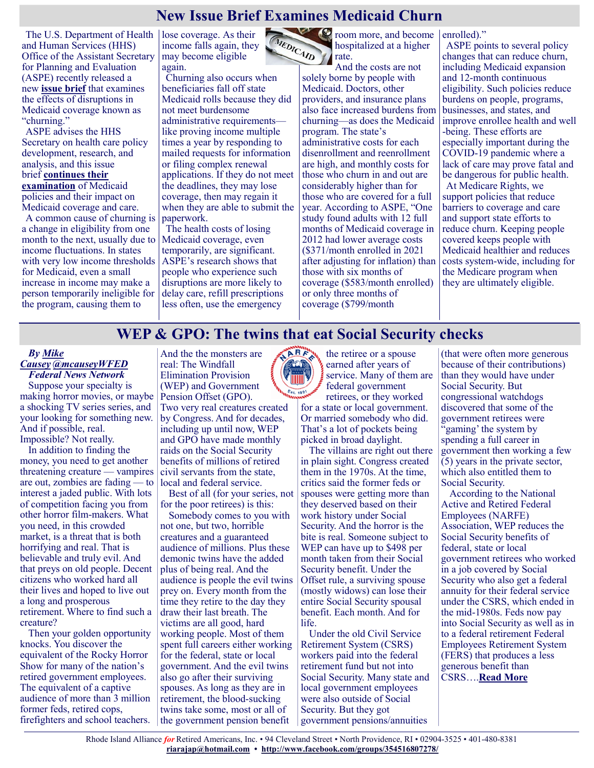# **New Issue Brief Examines Medicaid Churn**

The U.S. Department of Health lose coverage. As their and Human Services (HHS) Office of the Assistant Secretary for Planning and Evaluation (ASPE) recently released a new **[issue brief](https://aspe.hhs.gov/pdf-report/medicaid-churning)** that examines the effects of disruptions in Medicaid coverage known as "churning."

ASPE advises the HHS Secretary on health care policy development, research, and analysis, and this issue brief **[continues their](https://www.medicarerights.org/medicare-watch/2021/04/01/new-issue-brief-examines-effects-of-trump-era-medicaid-policies)  [examination](https://www.medicarerights.org/medicare-watch/2021/04/01/new-issue-brief-examines-effects-of-trump-era-medicaid-policies)** of Medicaid policies and their impact on Medicaid coverage and care.

A common cause of churning is a change in eligibility from one month to the next, usually due to income fluctuations. In states with very low income thresholds for Medicaid, even a small increase in income may make a person temporarily ineligible for the program, causing them to

income falls again, they may become eligible again.

Churning also occurs when beneficiaries fall off state Medicaid rolls because they did not meet burdensome administrative requirements like proving income multiple times a year by responding to mailed requests for information or filing complex renewal applications. If they do not meet the deadlines, they may lose coverage, then may regain it when they are able to submit the paperwork.

The health costs of losing Medicaid coverage, even temporarily, are significant. ASPE's research shows that people who experience such disruptions are more likely to delay care, refill prescriptions less often, use the emergency



room more, and become hospitalized at a higher rate.

And the costs are not solely borne by people with Medicaid. Doctors, other providers, and insurance plans also face increased burdens from churning—as does the Medicaid program. The state's administrative costs for each disenrollment and reenrollment are high, and monthly costs for those who churn in and out are considerably higher than for those who are covered for a full year. According to ASPE, "One study found adults with 12 full months of Medicaid coverage in 2012 had lower average costs (\$371/month enrolled in 2021 after adjusting for inflation) than those with six months of coverage (\$583/month enrolled) or only three months of coverage (\$799/month

enrolled)."

ASPE points to several policy changes that can reduce churn, including Medicaid expansion and 12-month continuous eligibility. Such policies reduce burdens on people, programs, businesses, and states, and improve enrollee health and well -being. These efforts are especially important during the COVID-19 pandemic where a lack of care may prove fatal and be dangerous for public health. At Medicare Rights, we support policies that reduce barriers to coverage and care and support state efforts to reduce churn. Keeping people covered keeps people with Medicaid healthier and reduces costs system-wide, including for the Medicare program when they are ultimately eligible.

#### **WEP & GPO: The twins that eat Social Security checks**

#### *By [Mike](https://federalnewsnetwork.com/author/mike-causey/)  [Causey](https://federalnewsnetwork.com/author/mike-causey/) [@mcauseyWFED](https://twitter.com/mcauseyWFED) Federal News Network*

Suppose your specialty is making horror movies, or maybe a shocking TV series series, and your looking for something new. And if possible, real. Impossible? Not really.

In addition to finding the money, you need to get another threatening creature — vampires are out, zombies are fading — to interest a jaded public. With lots of competition facing you from other horror film-makers. What you need, in this crowded market, is a threat that is both horrifying and real. That is believable and truly evil. And that preys on old people. Decent citizens who worked hard all their lives and hoped to live out a long and prosperous retirement. Where to find such a creature?

Then your golden opportunity knocks. You discover the equivalent of the Rocky Horror Show for many of the nation's retired government employees. The equivalent of a captive audience of more than 3 million former feds, retired cops, firefighters and school teachers.

And the the monsters are real: The Windfall Elimination Provision (WEP) and Government Pension Offset (GPO).

Two very real creatures created by Congress. And for decades, including up until now, WEP and GPO have made monthly raids on the Social Security benefits of millions of retired civil servants from the state, local and federal service.

Best of all (for your series, not for the poor retirees) is this:

Somebody comes to you with not one, but two, horrible creatures and a guaranteed audience of millions. Plus these demonic twins have the added plus of being real. And the audience is people the evil twins prey on. Every month from the time they retire to the day they draw their last breath. The victims are all good, hard working people. Most of them spent full careers either working for the federal, state or local government. And the evil twins also go after their surviving spouses. As long as they are in retirement, the blood-sucking twins take some, most or all of the government pension benefit



the retiree or a spouse earned after years of service. Many of them are federal government retirees, or they worked

for a state or local government. Or married somebody who did. That's a lot of pockets being picked in broad daylight.

The villains are right out there in plain sight. Congress created them in the 1970s. At the time, critics said the former feds or spouses were getting more than they deserved based on their work history under Social Security. And the horror is the bite is real. Someone subject to WEP can have up to \$498 per month taken from their Social Security benefit. Under the Offset rule, a surviving spouse (mostly widows) can lose their entire Social Security spousal benefit. Each month. And for life.

Under the old Civil Service Retirement System (CSRS) workers paid into the federal retirement fund but not into Social Security. Many state and local government employees were also outside of Social Security. But they got government pensions/annuities

(that were often more generous because of their contributions) than they would have under Social Security. But congressional watchdogs discovered that some of the government retirees were 'gaming' the system by spending a full career in government then working a few (5) years in the private sector, which also entitled them to Social Security.

According to the National Active and Retired Federal Employees (NARFE) Association, WEP reduces the Social Security benefits of federal, state or local government retirees who worked in a job covered by Social Security who also get a federal annuity for their federal service under the CSRS, which ended in the mid-1980s. Feds now pay into Social Security as well as in to a federal retirement Federal Employees Retirement System (FERS) that produces a less generous benefit than CSRS….**[Read More](https://federalnewsnetwork.com/mike-causey-federal-report/2021/04/wep-gpo-the-twins-that-eat-social-security-checks/)**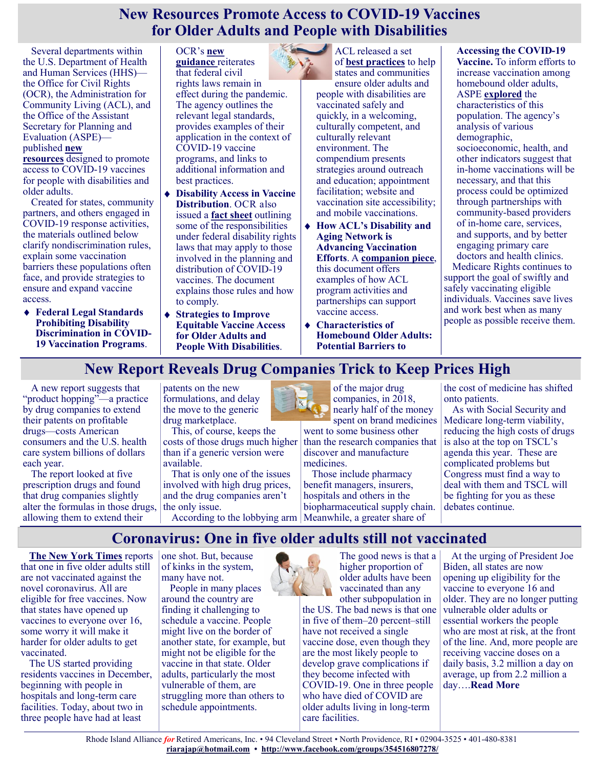#### **New Resources Promote Access to COVID-19 Vaccines for Older Adults and People with Disabilities**

Several departments within the U.S. Department of Health and Human Services (HHS) the Office for Civil Rights (OCR), the Administration for Community Living (ACL), and the Office of the Assistant Secretary for Planning and Evaluation (ASPE) published **[new](https://www.hhs.gov/about/news/2021/04/13/new-legal-guidance-and-resources-to-ensure-and-expand-access-to-covid-19-vaccines-for-people-with-disabilities-and-older-adults.html)  [resources](https://www.hhs.gov/about/news/2021/04/13/new-legal-guidance-and-resources-to-ensure-and-expand-access-to-covid-19-vaccines-for-people-with-disabilities-and-older-adults.html)** designed to promote

access to COVID-19 vaccines for people with disabilities and older adults.

Created for states, community partners, and others engaged in COVID-19 response activities, the materials outlined below clarify nondiscrimination rules, explain some vaccination barriers these populations often face, and provide strategies to ensure and expand vaccine access.

**Federal Legal Standards Prohibiting Disability Discrimination in COVID-19 Vaccination Programs**.

OCR's **[new](https://www.hhs.gov/sites/default/files/federal-legal-standards-prohibiting-disability-discrimination-covid-19-vaccination.pdf)  [guidance](https://www.hhs.gov/sites/default/files/federal-legal-standards-prohibiting-disability-discrimination-covid-19-vaccination.pdf)** reiterates that federal civil rights laws remain in effect during the pandemic. The agency outlines the relevant legal standards, provides examples of their application in the context of COVID-19 vaccine programs, and links to additional information and best practices.

- **Disability Access in Vaccine Distribution**. OCR also issued a **[fact sheet](https://www.hhs.gov/sites/default/files/disability-access-vaccine-distribution.pdf)** outlining some of the responsibilities under federal disability rights laws that may apply to those involved in the planning and distribution of COVID-19 vaccines. The document explains those rules and how to comply.
- **Strategies to Improve Equitable Vaccine Access for Older Adults and People With Disabilities**.

ACL released a set of **[best practices](https://acl.gov/covid19/VaccineAccessStrategies)** to help states and communities ensure older adults and people with disabilities are vaccinated safely and quickly, in a welcoming, culturally competent, and culturally relevant environment. The compendium presents strategies around outreach and education; appointment facilitation; website and vaccination site accessibility; and mobile vaccinations.

- **How ACL's Disability and Aging Network is Advancing Vaccination Efforts**. A **[companion piece](https://acl.gov/sites/default/files/2021-04/ACLNetworkAdvancingVaccineEffortsFinal.pdf)**, this document offers examples of how ACL program activities and partnerships can support vaccine access.
- **Characteristics of Homebound Older Adults: Potential Barriers to**

**Accessing the COVID-19 Vaccine.** To inform efforts to increase vaccination among homebound older adults, ASPE **[explored](https://aspe.hhs.gov/system/files/aspe-files/265346/homeboundvaccovid.pdf)** the characteristics of this population. The agency's analysis of various demographic, socioeconomic, health, and other indicators suggest that in-home vaccinations will be necessary, and that this process could be optimized through partnerships with community-based providers of in-home care, services, and supports, and by better engaging primary care doctors and health clinics. Medicare Rights continues to

support the goal of swiftly and safely vaccinating eligible individuals. Vaccines save lives and work best when as many people as possible receive them.

# **New Report Reveals Drug Companies Trick to Keep Prices High**

A new report suggests that "product hopping"—a practice by drug companies to extend their patents on profitable drugs—costs American consumers and the U.S. health care system billions of dollars each year.

The report looked at five prescription drugs and found that drug companies slightly alter the formulas in those drugs, allowing them to extend their

patents on the new formulations, and delay the move to the generic drug marketplace.

This, of course, keeps the costs of those drugs much higher than if a generic version were available.

That is only one of the issues involved with high drug prices, and the drug companies aren't the only issue.



of the major drug companies, in 2018, nearly half of the money

spent on brand medicines went to some business other than the research companies that discover and manufacture medicines.

According to the lobbying arm Meanwhile, a greater share of Those include pharmacy benefit managers, insurers, hospitals and others in the biopharmaceutical supply chain. the cost of medicine has shifted onto patients.

As with Social Security and Medicare long-term viability, reducing the high costs of drugs is also at the top on TSCL's agenda this year. These are complicated problems but Congress must find a way to deal with them and TSCL will be fighting for you as these debates continue.

**Coronavirus: One in five older adults still not vaccinated**

**[The New York Times](https://www.nytimes.com/interactive/2021/04/19/us/vaccine-rollout-seniors.html?)** reports that one in five older adults still are not vaccinated against the novel coronavirus. All are eligible for free vaccines. Now that states have opened up vaccines to everyone over 16, some worry it will make it harder for older adults to get vaccinated.

The US started providing residents vaccines in December, beginning with people in hospitals and long-term care facilities. Today, about two in three people have had at least

one shot. But, because of kinks in the system, many have not.

People in many places around the country are finding it challenging to schedule a vaccine. People might live on the border of another state, for example, but might not be eligible for the vaccine in that state. Older adults, particularly the most vulnerable of them, are struggling more than others to schedule appointments.



The good news is that a higher proportion of older adults have been vaccinated than any

other subpopulation in the US. The bad news is that one in five of them–20 percent–still have not received a single vaccine dose, even though they are the most likely people to develop grave complications if they become infected with COVID-19. One in three people who have died of COVID are older adults living in long-term care facilities.

At the urging of President Joe Biden, all states are now opening up eligibility for the vaccine to everyone 16 and older. They are no longer putting vulnerable older adults or essential workers the people who are most at risk, at the front of the line. And, more people are receiving vaccine doses on a daily basis, 3.2 million a day on average, up from 2.2 million a day….**[Read More](https://justcareusa.org/coronavirus-one-in-five-older-adults-still-not-vaccinated/)**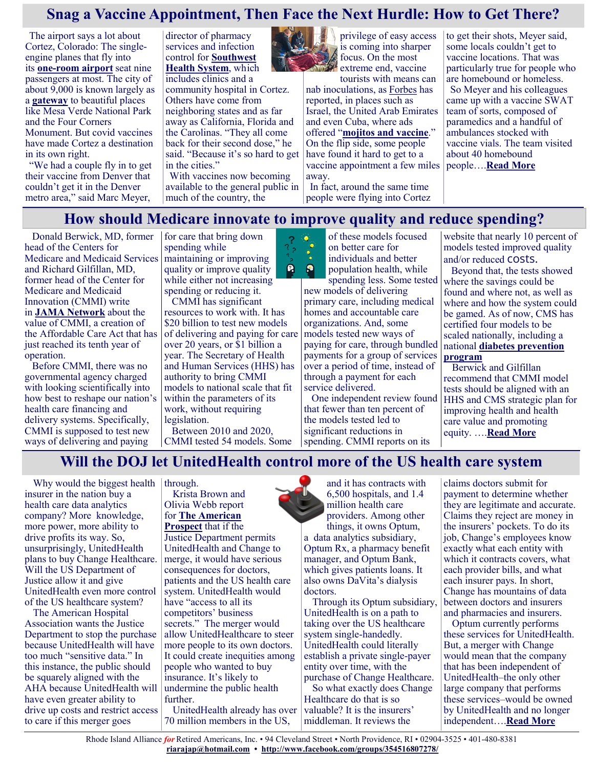# **Snag a Vaccine Appointment, Then Face the Next Hurdle: How to Get There?**

The airport says a lot about Cortez, Colorado: The singleengine planes that fly into its **one-[room airport](https://the-journal.com/articles/6019#slide=1)** seat nine passengers at most. The city of about 9,000 is known largely as a **[gateway](https://www.desertusa.com/cities/co/cortez.html#:~:text=The%20area%20is%20well%20known,Anasazi%20Heritage%20Center%20and%20others.)** to beautiful places like Mesa Verde National Park and the Four Corners Monument. But covid vaccines have made Cortez a destination in its own right.

"We had a couple fly in to get their vaccine from Denver that couldn't get it in the Denver metro area," said Marc Meyer,

director of pharmacy services and infection control for **[Southwest](https://www.swhealth.org/)  [Health System](https://www.swhealth.org/)**, which includes clinics and a community hospital in Cortez. Others have come from neighboring states and as far away as California, Florida and the Carolinas. "They all come back for their second dose," he said. "Because it's so hard to get in the cities."

With vaccines now becoming available to the general public in much of the country, the



focus. On the most extreme end, vaccine tourists with means can nab inoculations, as [Forbes](https://www.forbes.com/sites/alexledsom/2021/02/14/shot-trips-to-dubai-florida-tel-aviv-havana-covid-19-vaccine-tourism-takes-off/?sh=64319eff199c) has reported, in places such as Israel, the United Arab Emirates and even Cuba, where ads offered "**[mojitos and vaccine](https://twitter.com/teleSURtv/status/1353023645917057024)**." On the flip side, some people

have found it hard to get to a vaccine appointment a few miles away. In fact, around the same time

people were flying into Cortez

to get their shots, Meyer said, some locals couldn't get to vaccine locations. That was particularly true for people who are homebound or homeless. So Meyer and his colleagues came up with a vaccine SWAT team of sorts, composed of paramedics and a handful of ambulances stocked with vaccine vials. The team visited about 40 homebound people….**[Read More](https://khn.org/news/article/vaccine-appointments-tourism-travel-access-transportation/)**

#### **How should Medicare innovate to improve quality and reduce spending?**

 $\boldsymbol{\Omega}$ ρ

Donald Berwick, MD, former head of the Centers for Medicare and Medicaid Services and Richard Gilfillan, MD, former head of the Center for Medicare and Medicaid Innovation (CMMI) write in **[JAMA Network](https://jamanetwork.com/journals/jama/fullarticle/2778102?utm_source=twitter&utm_campaign=content-shareicons&utm_content=article_engagement&utm_medium=social&utm_term=040721#.YG22yfD1kRY.twitter)** about the value of CMMI, a creation of the Affordable Care Act that has just reached its tenth year of operation.

Before CMMI, there was no governmental agency charged with looking scientifically into how best to reshape our nation's health care financing and delivery systems. Specifically, CMMI is supposed to test new ways of delivering and paying

for care that bring down spending while maintaining or improving quality or improve quality while either not increasing spending or reducing it.

CMMI has significant resources to work with. It has \$20 billion to test new models of delivering and paying for care over 20 years, or \$1 billion a year. The Secretary of Health and Human Services (HHS) has authority to bring CMMI models to national scale that fit within the parameters of its work, without requiring legislation.

Between 2010 and 2020, CMMI tested 54 models. Some

of these models focused on better care for individuals and better population health, while spending less. Some tested

new models of delivering primary care, including medical homes and accountable care organizations. And, some models tested new ways of paying for care, through bundled payments for a group of services over a period of time, instead of through a payment for each service delivered.

One independent review found that fewer than ten percent of the models tested led to significant reductions in spending. CMMI reports on its

website that nearly 10 percent of models tested improved quality and/or reduced costs.

Beyond that, the tests showed where the savings could be found and where not, as well as where and how the system could be gamed. As of now, CMS has certified four models to be scaled nationally, including a national **[diabetes prevention](https://justcareusa.org/medicare-covers-diabetes-prevention-program/)  [program](https://justcareusa.org/medicare-covers-diabetes-prevention-program/)**

Berwick and Gilfillan recommend that CMMI model tests should be aligned with an HHS and CMS strategic plan for improving health and health care value and promoting equity. ….**[Read More](https://justcareusa.org/how-should-medicare-innovate-to-improve-quality-and-reduce-spending/)**

#### **Will the DOJ let UnitedHealth control more of the US health care system**

Why would the biggest health insurer in the nation buy a health care data analytics company? More knowledge, more power, more ability to drive profits its way. So, unsurprisingly, UnitedHealth plans to buy Change Healthcare. Will the US Department of Justice allow it and give UnitedHealth even more control of the US healthcare system?

The American Hospital Association wants the Justice Department to stop the purchase because UnitedHealth will have too much "sensitive data." In this instance, the public should be squarely aligned with the AHA because UnitedHealth will have even greater ability to drive up costs and restrict access to care if this merger goes

#### through. Krista Brown and

Olivia Webb report for **[The American](https://prospect.org/health/big-tech-of-health-care-united-optum-change-merger/)  [Prospect](https://prospect.org/health/big-tech-of-health-care-united-optum-change-merger/)** that if the

Justice Department permits UnitedHealth and Change to merge, it would have serious consequences for doctors, patients and the US health care system. UnitedHealth would have "access to all its competitors' business secrets." The merger would allow UnitedHealthcare to steer more people to its own doctors. It could create inequities among people who wanted to buy insurance. It's likely to undermine the public health further.

UnitedHealth already has over 70 million members in the US,

and it has contracts with 6,500 hospitals, and 1.4 million health care providers. Among other things, it owns Optum, a data analytics subsidiary, Optum Rx, a pharmacy benefit manager, and Optum Bank, which gives patients loans. It also owns DaVita's dialysis doctors.

Through its Optum subsidiary, UnitedHealth is on a path to taking over the US healthcare system single-handedly. UnitedHealth could literally establish a private single-payer entity over time, with the purchase of Change Healthcare.

So what exactly does Change Healthcare do that is so valuable? It is the insurers' middleman. It reviews the

claims doctors submit for payment to determine whether they are legitimate and accurate. Claims they reject are money in the insurers' pockets. To do its job, Change's employees know exactly what each entity with which it contracts covers, what each provider bills, and what each insurer pays. In short, Change has mountains of data between doctors and insurers and pharmacies and insurers.

Optum currently performs these services for UnitedHealth. But, a merger with Change would mean that the company that has been independent of UnitedHealth–the only other large company that performs these services–would be owned by UnitedHealth and no longer independent….**[Read More](https://justcareusa.org/will-the-doj-let-unitedhealth-control-more-of-the-us-health-care-system/)**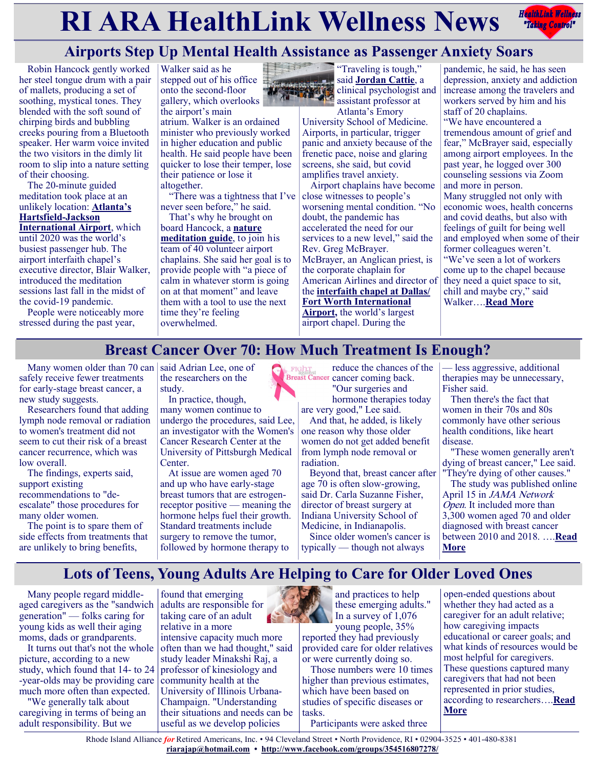# **RIARA HealthLink Wellness News** *Redige Controly*



# **Airports Step Up Mental Health Assistance as Passenger Anxiety Soars**

Robin Hancock gently worked her steel tongue drum with a pair of mallets, producing a set of soothing, mystical tones. They blended with the soft sound of chirping birds and bubbling creeks pouring from a Bluetooth speaker. Her warm voice invited the two visitors in the dimly lit room to slip into a nature setting of their choosing.

The 20-minute guided meditation took place at an unlikely location: **[Atlanta's](https://atlchapel.org/)  [Hartsfield](https://atlchapel.org/)-Jackson [International Airport](https://atlchapel.org/)**, which until 2020 was the world's busiest passenger hub. The airport interfaith chapel's executive director, Blair Walker, introduced the meditation sessions last fall in the midst of the covid-19 pandemic.

People were noticeably more stressed during the past year,

Walker said as he stepped out of his office  $\frac{1}{2}$ onto the second-floor gallery, which overlooks the airport's main atrium. Walker is an ordained minister who previously worked in higher education and public health. He said people have been quicker to lose their temper, lose their patience or lose it altogether.

"There was a tightness that I've never seen before," he said.

That's why he brought on board Hancock, a **[nature](https://www.renewal-by-nature.com/)  [meditation guide](https://www.renewal-by-nature.com/)**, to join his team of 40 volunteer airport chaplains. She said her goal is to provide people with "a piece of calm in whatever storm is going on at that moment" and leave them with a tool to use the next time they're feeling overwhelmed.



"Traveling is tough," said **[Jordan Cattie](https://providers.emoryhealthcare.org/provider/Jordan+Elizabeth+Cattie/780536)**, a clinical psychologist and assistant professor at Atlanta's Emory

University School of Medicine. Airports, in particular, trigger panic and anxiety because of the frenetic pace, noise and glaring screens, she said, but covid amplifies travel anxiety.

Airport chaplains have become close witnesses to people's worsening mental condition. "No doubt, the pandemic has accelerated the need for our services to a new level," said the Rev. Greg McBrayer. McBrayer, an Anglican priest, is the corporate chaplain for American Airlines and director of the **[interfaith chapel at Dallas/](http://www.dfwairportchapel.org/) [Fort Worth International](http://www.dfwairportchapel.org/)  [Airport,](http://www.dfwairportchapel.org/)** the world's largest airport chapel. During the

pandemic, he said, he has seen depression, anxiety and addiction increase among the travelers and workers served by him and his staff of 20 chaplains. "We have encountered a tremendous amount of grief and fear," McBrayer said, especially among airport employees. In the past year, he logged over 300 counseling sessions via Zoom and more in person. Many struggled not only with economic woes, health concerns and covid deaths, but also with feelings of guilt for being well and employed when some of their former colleagues weren't. "We've seen a lot of workers come up to the chapel because they need a quiet space to sit, chill and maybe cry," said Walker….**[Read More](https://khn.org/news/article/airports-step-up-mental-health-assistance-as-passenger-anxiety-soars/)**

#### **Breast Cancer Over 70: How Much Treatment Is Enough?**

Many women older than 70 can said Adrian Lee, one of safely receive fewer treatments for early-stage breast cancer, a new study suggests.

Researchers found that adding lymph node removal or radiation to women's treatment did not seem to cut their risk of a breast cancer recurrence, which was low overall.

The findings, experts said, support existing recommendations to "deescalate" those procedures for many older women.

The point is to spare them of side effects from treatments that are unlikely to bring benefits,

the researchers on the study.

In practice, though, many women continue to undergo the procedures, said Lee, an investigator with the Women's Cancer Research Center at the University of Pittsburgh Medical Center.

At issue are women aged 70 and up who have early-stage breast tumors that are estrogenreceptor positive — meaning the hormone helps fuel their growth. Standard treatments include surgery to remove the tumor, followed by hormone therapy to

reduce the chances of the **CALCE THE TEST CONCRETE CONCRETE CALCE CALCE CALCE CALCE CALCE CALCE CALCE CALCE CALCE CALCE CALCE CALCE CALCE CALCE CALCE CALCE CALCE CALCE CALCE CALCE CALCE CALCE CALCE CALCE CALCE CALCE CALCE CALCE CALCE CALCE CALCE CA** "Our surgeries and

hormone therapies today are very good," Lee said.

And that, he added, is likely one reason why those older women do not get added benefit from lymph node removal or radiation.

Beyond that, breast cancer after age 70 is often slow-growing, said Dr. Carla Suzanne Fisher, director of breast surgery at Indiana University School of Medicine, in Indianapolis.

Since older women's cancer is typically — though not always

— less aggressive, additional therapies may be unnecessary, Fisher said.

Then there's the fact that women in their 70s and 80s commonly have other serious health conditions, like heart disease.

"These women generally aren't dying of breast cancer," Lee said. "They're dying of other causes."

The study was published online April 15 in JAMA Network Open. It included more than 3,300 women aged 70 and older diagnosed with breast cancer between 2010 and 2018. ….**[Read](https://consumer.healthday.com/4-20-breast-cancer-over-70-how-much-treatment-is-enough-2652605297.html)  [More](https://consumer.healthday.com/4-20-breast-cancer-over-70-how-much-treatment-is-enough-2652605297.html)**

# **Lots of Teens, Young Adults Are Helping to Care for Older Loved Ones**

Many people regard middleaged caregivers as the "sandwich generation" — folks caring for young kids as well their aging moms, dads or grandparents.

It turns out that's not the whole picture, according to a new study, which found that 14- to 24 -year-olds may be providing care much more often than expected.

"We generally talk about caregiving in terms of being an adult responsibility. But we

found that emerging adults are responsible for taking care of an adult relative in a more intensive capacity much more often than we had thought," said study leader Minakshi Raj, a professor of kinesiology and community health at the University of Illinois Urbana-Champaign. "Understanding their situations and needs can be useful as we develop policies



reported they had previously provided care for older relatives or were currently doing so.

Those numbers were 10 times higher than previous estimates, which have been based on studies of specific diseases or tasks. Participants were asked three

open-ended questions about whether they had acted as a caregiver for an adult relative; how caregiving impacts educational or career goals; and what kinds of resources would be most helpful for caregivers. These questions captured many caregivers that had not been represented in prior studies, according to researchers….**[Read](https://consumer.healthday.com/b-4-15-lots-of-teens-young-adults-are-helping-to-care-for-older-loved-ones-2652503882.html)  [More](https://consumer.healthday.com/b-4-15-lots-of-teens-young-adults-are-helping-to-care-for-older-loved-ones-2652503882.html)**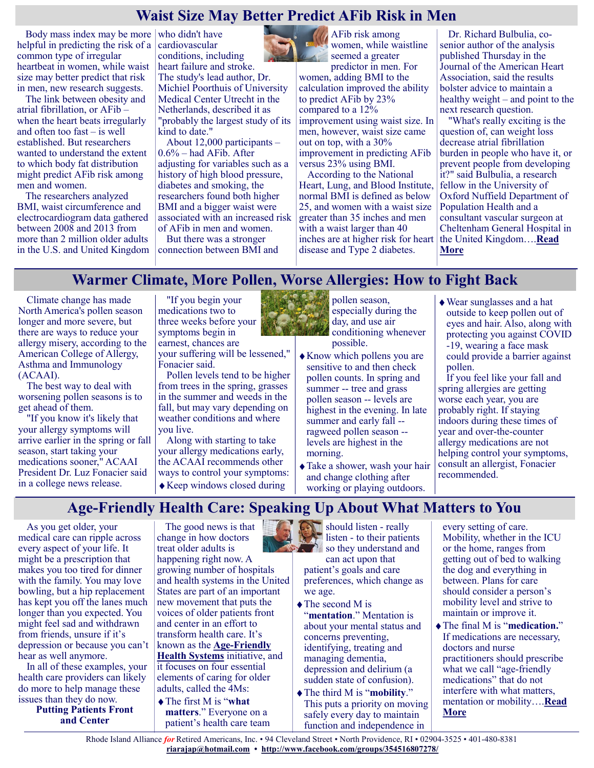#### **Waist Size May Better Predict AFib Risk in Men**

Body mass index may be more who didn't have helpful in predicting the risk of a common type of irregular heartbeat in women, while waist size may better predict that risk in men, new research suggests.

The link between obesity and atrial fibrillation, or AFib – when the heart beats irregularly and often too fast – is well established. But researchers wanted to understand the extent to which body fat distribution might predict AFib risk among men and women.

The researchers analyzed BMI, waist circumference and electrocardiogram data gathered between 2008 and 2013 from more than 2 million older adults in the U.S. and United Kingdom cardiovascular conditions, including heart failure and stroke. The study's lead author, Dr. Michiel Poorthuis of University Medical Center Utrecht in the Netherlands, described it as "probably the largest study of its kind to date."

About 12,000 participants – 0.6% – had AFib. After adjusting for variables such as a history of high blood pressure, diabetes and smoking, the researchers found both higher BMI and a bigger waist were associated with an increased risk of AFib in men and women. But there was a stronger

connection between BMI and

AFib risk among women, while waistline

seemed a greater predictor in men. For women, adding BMI to the calculation improved the ability to predict AFib by 23% compared to a 12% improvement using waist size. In men, however, waist size came out on top, with a 30% improvement in predicting AFib versus 23% using BMI.

According to the National Heart, Lung, and Blood Institute, normal BMI is defined as below 25, and women with a waist size greater than 35 inches and men with a waist larger than 40 inches are at higher risk for heart disease and Type 2 diabetes.

Dr. Richard Bulbulia, cosenior author of the analysis published Thursday in the Journal of the American Heart Association, said the results bolster advice to maintain a healthy weight – and point to the next research question.

"What's really exciting is the question of, can weight loss decrease atrial fibrillation burden in people who have it, or prevent people from developing it?" said Bulbulia, a research fellow in the University of Oxford Nuffield Department of Population Health and a consultant vascular surgeon at Cheltenham General Hospital in the United Kingdom….**[Read](https://consumer.healthday.com/aha-news-waist-size-may-better-predict-afib-risk-in-men-2652593899.html)  [More](https://consumer.healthday.com/aha-news-waist-size-may-better-predict-afib-risk-in-men-2652593899.html)**

#### **Warmer Climate, More Pollen, Worse Allergies: How to Fight Back**

Climate change has made North America's pollen season longer and more severe, but there are ways to reduce your allergy misery, according to the American College of Allergy, Asthma and Immunology (ACAAI).

The best way to deal with worsening pollen seasons is to get ahead of them.

"If you know it's likely that your allergy symptoms will arrive earlier in the spring or fall season, start taking your medications sooner," ACAAI President Dr. Luz Fonacier said in a college news release.

"If you begin your medications two to three weeks before your symptoms begin in earnest, chances are

your suffering will be lessened," Fonacier said.

Pollen levels tend to be higher from trees in the spring, grasses in the summer and weeds in the fall, but may vary depending on weather conditions and where you live.

Along with starting to take your allergy medications early, the ACAAI recommends other ways to control your symptoms: Keep windows closed during



pollen season, especially during the day, and use air conditioning whenever possible.

- Know which pollens you are sensitive to and then check pollen counts. In spring and summer -- tree and grass pollen season -- levels are highest in the evening. In late summer and early fall - ragweed pollen season - levels are highest in the morning.
- Take a shower, wash your hair and change clothing after working or playing outdoors.

Wear sunglasses and a hat outside to keep pollen out of eyes and hair. Also, along with protecting you against COVID -19, wearing a face mask could provide a barrier against pollen.

If you feel like your fall and spring allergies are getting worse each year, you are probably right. If staying indoors during these times of year and over-the-counter allergy medications are not helping control your symptoms, consult an allergist, Fonacier recommended.

#### **Age-Friendly Health Care: Speaking Up About What Matters to You**

As you get older, your medical care can ripple across every aspect of your life. It might be a prescription that makes you too tired for dinner with the family. You may love bowling, but a hip replacement has kept you off the lanes much longer than you expected. You might feel sad and withdrawn from friends, unsure if it's depression or because you can't hear as well anymore.

In all of these examples, your health care providers can likely do more to help manage these issues than they do now.

**Putting Patients Front and Center**

The good news is that change in how doctors treat older adults is happening right now. A growing number of hospitals and health systems in the United States are part of an important new movement that puts the voices of older patients front and center in an effort to transform health care. It's known as the **Age-[Friendly](https://www.johnahartford.org/grants-strategy/current-strategies/age-friendly/age-friendly-health-systems-initiative)  [Health Systems](https://www.johnahartford.org/grants-strategy/current-strategies/age-friendly/age-friendly-health-systems-initiative)** initiative, and it focuses on four essential elements of caring for older adults, called the 4Ms:

The first M is "**what matters**." Everyone on a patient's health care team

should listen - really listen - to their patients so they understand and can act upon that

patient's goals and care preferences, which change as we age.

- $\blacklozenge$  The second M is "**mentation**." Mentation is about your mental status and concerns preventing, identifying, treating and managing dementia, depression and delirium (a sudden state of confusion).
- The third M is "**mobility**." This puts a priority on moving safely every day to maintain function and independence in

every setting of care. Mobility, whether in the ICU or the home, ranges from getting out of bed to walking the dog and everything in between. Plans for care should consider a person's mobility level and strive to maintain or improve it.

The final M is "**medication.**" If medications are necessary, doctors and nurse practitioners should prescribe what we call "age-friendly medications" that do not interfere with what matters, mentation or mobility….**[Read](https://www.webmd.com/healthy-aging/aging-well-20/speak-up-health-matters)  [More](https://www.webmd.com/healthy-aging/aging-well-20/speak-up-health-matters)**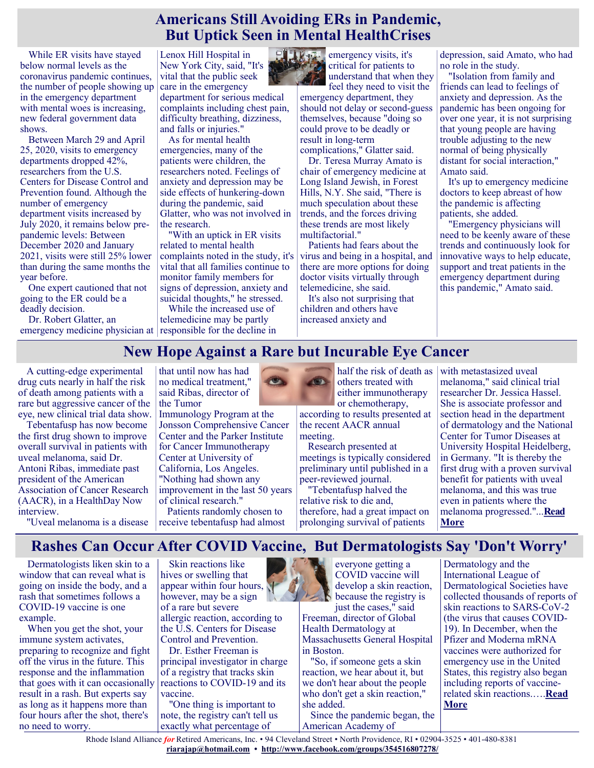#### **Americans Still Avoiding ERs in Pandemic, But Uptick Seen in Mental HealthCrises**

While ER visits have stayed below normal levels as the coronavirus pandemic continues, the number of people showing up in the emergency department with mental woes is increasing, new federal government data shows.

Between March 29 and April 25, 2020, visits to emergency departments dropped 42%, researchers from the U.S. Centers for Disease Control and Prevention found. Although the number of emergency department visits increased by July 2020, it remains below prepandemic levels: Between December 2020 and January 2021, visits were still 25% lower than during the same months the year before.

One expert cautioned that not going to the ER could be a deadly decision.

Dr. Robert Glatter, an emergency medicine physician at responsible for the decline in

Lenox Hill Hospital in New York City, said, "It's vital that the public seek care in the emergency

department for serious medical complaints including chest pain, difficulty breathing, dizziness, and falls or injuries."

As for mental health emergencies, many of the patients were children, the researchers noted. Feelings of anxiety and depression may be side effects of hunkering-down during the pandemic, said Glatter, who was not involved in the research.

"With an uptick in ER visits related to mental health complaints noted in the study, it's vital that all families continue to monitor family members for signs of depression, anxiety and suicidal thoughts," he stressed.

While the increased use of telemedicine may be partly



emergency visits, it's critical for patients to understand that when they feel they need to visit the

emergency department, they should not delay or second-guess themselves, because "doing so could prove to be deadly or result in long-term complications," Glatter said.

Dr. Teresa Murray Amato is chair of emergency medicine at Long Island Jewish, in Forest Hills, N.Y. She said, "There is much speculation about these trends, and the forces driving these trends are most likely multifactorial."

Patients had fears about the virus and being in a hospital, and there are more options for doing doctor visits virtually through telemedicine, she said.

It's also not surprising that children and others have increased anxiety and

depression, said Amato, who had no role in the study.

"Isolation from family and friends can lead to feelings of anxiety and depression. As the pandemic has been ongoing for over one year, it is not surprising that young people are having trouble adjusting to the new normal of being physically distant for social interaction," Amato said.

It's up to emergency medicine doctors to keep abreast of how the pandemic is affecting patients, she added.

"Emergency physicians will need to be keenly aware of these trends and continuously look for innovative ways to help educate, support and treat patients in the emergency department during this pandemic," Amato said.

# **New Hope Against a Rare but Incurable Eye Cancer**

A cutting-edge experimental drug cuts nearly in half the risk of death among patients with a rare but aggressive cancer of the eye, new clinical trial data show.

Tebentafusp has now become the first drug shown to improve overall survival in patients with uveal melanoma, said Dr. Antoni Ribas, immediate past president of the American Association of Cancer Research (AACR), in a [HealthDay Now](https://live.healthday.com/healthday-now-aacr-meeting-2021-2652515156.html)  [interview.](https://live.healthday.com/healthday-now-aacr-meeting-2021-2652515156.html)

"Uveal melanoma is a disease

that until now has had no medical treatment," said Ribas, director of the Tumor

Immunology Program at the Jonsson Comprehensive Cancer Center and the Parker Institute for Cancer Immunotherapy Center at University of California, Los Angeles. "Nothing had shown any improvement in the last 50 years of clinical research."

Patients randomly chosen to receive tebentafusp had almost

half the risk of death as others treated with either immunotherapy or chemotherapy,

according to results presented at the recent AACR annual meeting.

Research presented at meetings is typically considered preliminary until published in a peer-reviewed journal.

"Tebentafusp halved the relative risk to die and, therefore, had a great impact on prolonging survival of patients

with metastasized uveal melanoma," said clinical trial researcher Dr. Jessica Hassel. She is associate professor and section head in the department of dermatology and the National Center for Tumor Diseases at University Hospital Heidelberg, in Germany. "It is thereby the first drug with a proven survival benefit for patients with uveal melanoma, and this was true even in patients where the melanoma progressed."...**[Read](https://consumer.healthday.com/4-20-new-hope-against-a-rare-but-incurable-eye-cancer-2652574261.html)  [More](https://consumer.healthday.com/4-20-new-hope-against-a-rare-but-incurable-eye-cancer-2652574261.html)**

# **Rashes Can Occur After COVID Vaccine, But Dermatologists Say 'Don't Worry'**

Dermatologists liken skin to a window that can reveal what is going on inside the body, and a rash that sometimes follows a COVID-19 vaccine is one example.

When you get the shot, your immune system activates, preparing to recognize and fight off the virus in the future. This response and the inflammation that goes with it can occasionally result in a rash. But experts say as long as it happens more than four hours after the shot, there's no need to worry.

Skin reactions like hives or swelling that appear within four hours,  $\overline{\mathbf{N}}$ however, may be a sign of a rare but severe allergic reaction, according to the U.S. Centers for Disease Control and Prevention. Dr. Esther Freeman is

principal investigator in charge of a registry that tracks skin reactions to COVID-19 and its vaccine.

"One thing is important to note, the registry can't tell us exactly what percentage of



just the cases," said Freeman, director of Global Health Dermatology at Massachusetts General Hospital in Boston.

"So, if someone gets a skin reaction, we hear about it, but we don't hear about the people who don't get a skin reaction," she added.

Since the pandemic began, the American Academy of

Dermatology and the International League of Dermatological Societies have collected thousands of reports of skin reactions to SARS-CoV-2 (the virus that causes COVID-19). In December, when the Pfizer and Moderna mRNA vaccines were authorized for emergency use in the United States, this registry also began including reports of vaccinerelated skin reactions.….**[Read](https://consumer.healthday.com/4-15-rashes-can-occur-after-covid-vaccine-dermatologists-say-dont-worry-2651381863.html)  [More](https://consumer.healthday.com/4-15-rashes-can-occur-after-covid-vaccine-dermatologists-say-dont-worry-2651381863.html)**